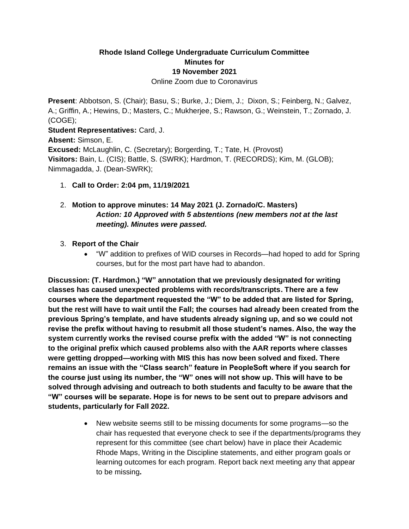# **Rhode Island College Undergraduate Curriculum Committee Minutes for 19 November 2021**

Online Zoom due to Coronavirus

**Present**: Abbotson, S. (Chair); Basu, S.; Burke, J.; Diem, J.; Dixon, S.; Feinberg, N.; Galvez, A.; Griffin, A.; Hewins, D.; Masters, C.; Mukherjee, S.; Rawson, G.; Weinstein, T.; Zornado, J. (COGE);

**Student Representatives:** Card, J. **Absent:** Simson, E. **Excused:** McLaughlin, C. (Secretary); Borgerding, T.; Tate, H. (Provost) **Visitors:** Bain, L. (CIS); Battle, S. (SWRK); Hardmon, T. (RECORDS); Kim, M. (GLOB); Nimmagadda, J. (Dean-SWRK);

1. **Call to Order: 2:04 pm, 11/19/2021**

# 2. **Motion to approve minutes: 14 May 2021 (J. Zornado/C. Masters)**  *Action: 10 Approved with 5 abstentions (new members not at the last meeting). Minutes were passed.*

### 3. **Report of the Chair**

• "W" addition to prefixes of WID courses in Records—had hoped to add for Spring courses, but for the most part have had to abandon.

**Discussion: (T. Hardmon.) "W" annotation that we previously designated for writing classes has caused unexpected problems with records/transcripts. There are a few courses where the department requested the "W" to be added that are listed for Spring, but the rest will have to wait until the Fall; the courses had already been created from the previous Spring's template, and have students already signing up, and so we could not revise the prefix without having to resubmit all those student's names. Also, the way the system currently works the revised course prefix with the added "W" is not connecting to the original prefix which caused problems also with the AAR reports where classes were getting dropped—working with MIS this has now been solved and fixed. There remains an issue with the "Class search" feature in PeopleSoft where if you search for the course just using its number, the "W" ones will not show up. This will have to be solved through advising and outreach to both students and faculty to be aware that the "W" courses will be separate. Hope is for news to be sent out to prepare advisors and students, particularly for Fall 2022.**

> • New website seems still to be missing documents for some programs—so the chair has requested that everyone check to see if the departments/programs they represent for this committee (see chart below) have in place their Academic Rhode Maps, Writing in the Discipline statements, and either program goals or learning outcomes for each program. Report back next meeting any that appear to be missing**.**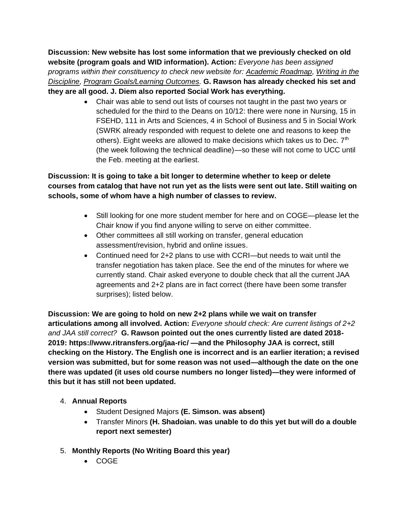**Discussion: New website has lost some information that we previously checked on old website (program goals and WID information). Action:** *Everyone has been assigned programs within their constituency to check new website for: Academic Roadmap, Writing in the Discipline, Program Goals/Learning Outcomes.* **G. Rawson has already checked his set and they are all good. J. Diem also reported Social Work has everything.**

> • Chair was able to send out lists of courses not taught in the past two years or scheduled for the third to the Deans on 10/12: there were none in Nursing, 15 in FSEHD, 111 in Arts and Sciences, 4 in School of Business and 5 in Social Work (SWRK already responded with request to delete one and reasons to keep the others). Eight weeks are allowed to make decisions which takes us to Dec.  $7<sup>th</sup>$ (the week following the technical deadline)—so these will not come to UCC until the Feb. meeting at the earliest.

# **Discussion: It is going to take a bit longer to determine whether to keep or delete courses from catalog that have not run yet as the lists were sent out late. Still waiting on schools, some of whom have a high number of classes to review.**

- Still looking for one more student member for here and on COGE—please let the Chair know if you find anyone willing to serve on either committee.
- Other committees all still working on transfer, general education assessment/revision, hybrid and online issues.
- Continued need for 2+2 plans to use with CCRI—but needs to wait until the transfer negotiation has taken place. See the end of the minutes for where we currently stand. Chair asked everyone to double check that all the current JAA agreements and 2+2 plans are in fact correct (there have been some transfer surprises); listed below.

**Discussion: We are going to hold on new 2+2 plans while we wait on transfer articulations among all involved. Action:** *Everyone should check: Are current listings of 2+2 and JAA still correct?* **G. Rawson pointed out the ones currently listed are dated 2018- 2019: https://www.ritransfers.org/jaa-ric/ —and the Philosophy JAA is correct, still checking on the History. The English one is incorrect and is an earlier iteration; a revised version was submitted, but for some reason was not used—although the date on the one there was updated (it uses old course numbers no longer listed)—they were informed of this but it has still not been updated.**

## 4. **Annual Reports**

- Student Designed Majors **(E. Simson. was absent)**
- Transfer Minors **(H. Shadoian. was unable to do this yet but will do a double report next semester)**
- 5. **Monthly Reports (No Writing Board this year)**
	- COGE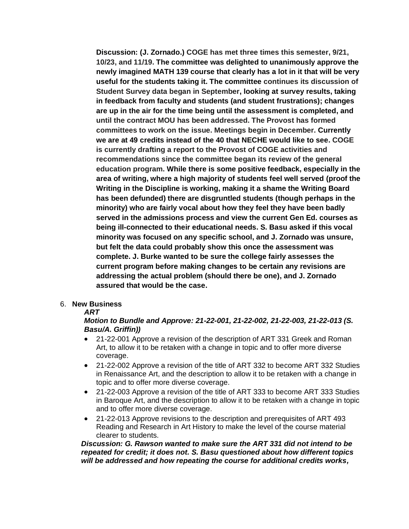**Discussion: (J. Zornado.) COGE has met three times this semester, 9/21, 10/23, and 11/19. The committee was delighted to unanimously approve the newly imagined MATH 139 course that clearly has a lot in it that will be very useful for the students taking it. The committee continues its discussion of Student Survey data began in September, looking at survey results, taking in feedback from faculty and students (and student frustrations); changes are up in the air for the time being until the assessment is completed, and until the contract MOU has been addressed. The Provost has formed committees to work on the issue. Meetings begin in December. Currently we are at 49 credits instead of the 40 that NECHE would like to see. COGE is currently drafting a report to the Provost of COGE activities and recommendations since the committee began its review of the general education program. While there is some positive feedback, especially in the area of writing, where a high majority of students feel well served (proof the Writing in the Discipline is working, making it a shame the Writing Board has been defunded) there are disgruntled students (though perhaps in the minority) who are fairly vocal about how they feel they have been badly served in the admissions process and view the current Gen Ed. courses as being ill-connected to their educational needs. S. Basu asked if this vocal minority was focused on any specific school, and J. Zornado was unsure, but felt the data could probably show this once the assessment was complete. J. Burke wanted to be sure the college fairly assesses the current program before making changes to be certain any revisions are addressing the actual problem (should there be one), and J. Zornado assured that would be the case.**

#### 6. **New Business**

### *ART*

### *Motion to Bundle and Approve: 21-22-001, 21-22-002, 21-22-003, 21-22-013 (S. Basu/A. Griffin))*

- 21-22-001 Approve a revision of the description of ART 331 Greek and Roman Art, to allow it to be retaken with a change in topic and to offer more diverse coverage.
- 21-22-002 Approve a revision of the title of ART 332 to become ART 332 Studies in Renaissance Art, and the description to allow it to be retaken with a change in topic and to offer more diverse coverage.
- 21-22-003 Approve a revision of the title of ART 333 to become ART 333 Studies in Baroque Art, and the description to allow it to be retaken with a change in topic and to offer more diverse coverage.
- 21-22-013 Approve revisions to the description and prerequisites of ART 493 Reading and Research in Art History to make the level of the course material clearer to students.

*Discussion: G. Rawson wanted to make sure the ART 331 did not intend to be repeated for credit; it does not. S. Basu questioned about how different topics will be addressed and how repeating the course for additional credits works,*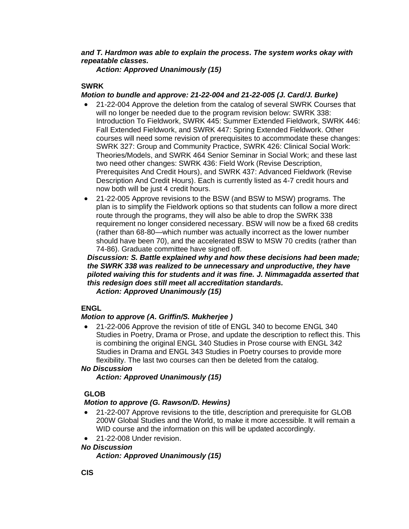*and T. Hardmon was able to explain the process. The system works okay with repeatable classes.*

*Action: Approved Unanimously (15)*

### **SWRK**

### *Motion to bundle and approve: 21-22-004 and 21-22-005 (J. Card/J. Burke)*

- 21-22-004 Approve the deletion from the catalog of several SWRK Courses that will no longer be needed due to the program revision below: SWRK 338: Introduction To Fieldwork, SWRK 445: Summer Extended Fieldwork, SWRK 446: Fall Extended Fieldwork, and SWRK 447: Spring Extended Fieldwork. Other courses will need some revision of prerequisites to accommodate these changes: SWRK 327: Group and Community Practice, SWRK 426: Clinical Social Work: Theories/Models, and SWRK 464 Senior Seminar in Social Work; and these last two need other changes: SWRK 436: Field Work (Revise Description, Prerequisites And Credit Hours), and SWRK 437: Advanced Fieldwork (Revise Description And Credit Hours). Each is currently listed as 4-7 credit hours and now both will be just 4 credit hours.
- 21-22-005 Approve revisions to the BSW (and BSW to MSW) programs. The plan is to simplify the Fieldwork options so that students can follow a more direct route through the programs, they will also be able to drop the SWRK 338 requirement no longer considered necessary. BSW will now be a fixed 68 credits (rather than 68-80—which number was actually incorrect as the lower number should have been 70), and the accelerated BSW to MSW 70 credits (rather than 74-86). Graduate committee have signed off.

*Discussion: S. Battle explained why and how these decisions had been made; the SWRK 338 was realized to be unnecessary and unproductive, they have piloted waiving this for students and it was fine. J. Nimmagadda asserted that this redesign does still meet all accreditation standards.*

*Action: Approved Unanimously (15)*

## **ENGL**

## *Motion to approve (A. Griffin/S. Mukherjee )*

• 21-22-006 Approve the revision of title of ENGL 340 to become ENGL 340 Studies in Poetry, Drama or Prose, and update the description to reflect this. This is combining the original ENGL 340 Studies in Prose course with ENGL 342 Studies in Drama and ENGL 343 Studies in Poetry courses to provide more flexibility. The last two courses can then be deleted from the catalog.

### *No Discussion*

*Action: Approved Unanimously (15)*

## **GLOB**

## *Motion to approve (G. Rawson/D. Hewins)*

- 21-22-007 Approve revisions to the title, description and prerequisite for GLOB 200W Global Studies and the World, to make it more accessible. It will remain a WID course and the information on this will be updated accordingly.
- 21-22-008 Under revision.

### *No Discussion*

*Action: Approved Unanimously (15)*